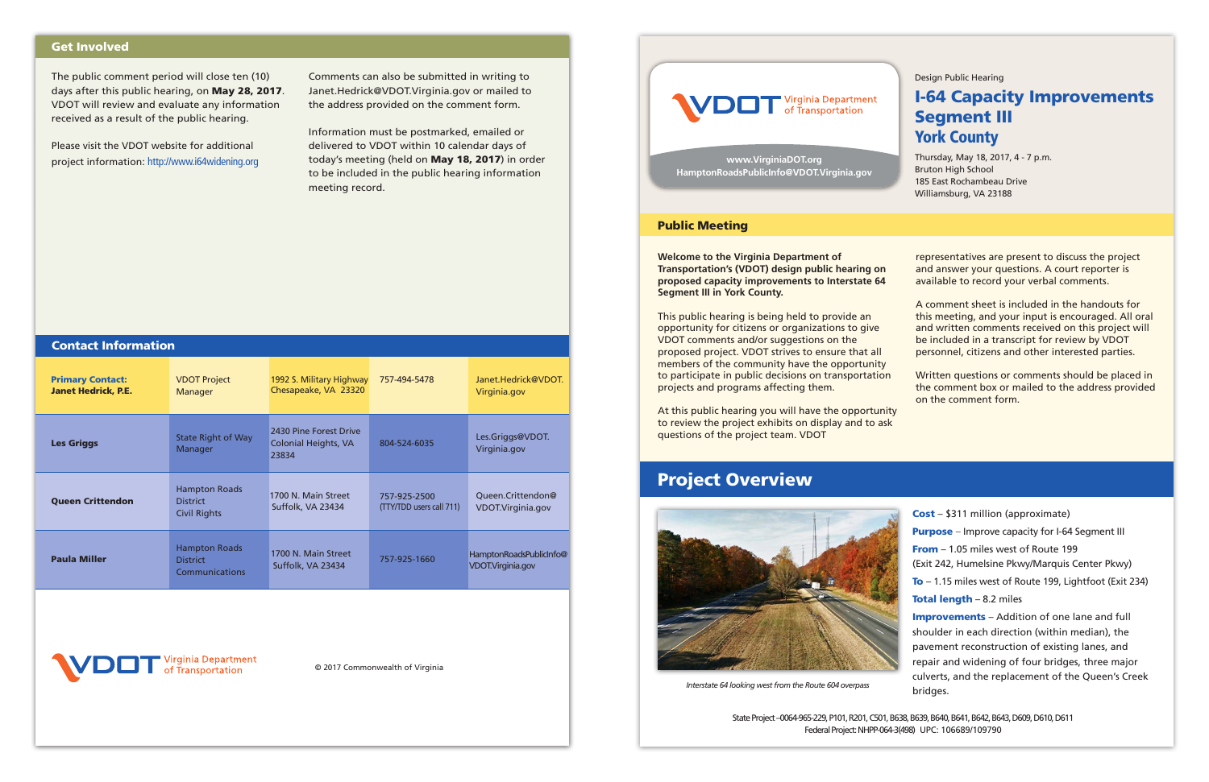

*Interstate 64 looking west from the Route 604 overpass* 

Design Public Hearing

## I-64 Capacity Improvements Segment III York County

Thursday, May 18, 2017, 4 - 7 p.m. Bruton High School 185 East Rochambeau Drive Williamsburg, VA 23188

**Welcome to the Virginia Department of Transportation's (VDOT) design public hearing on proposed capacity improvements to Interstate 64 Segment III in York County.**

This public hearing is being held to provide an opportunity for citizens or organizations to give VDOT comments and/or suggestions on the proposed project. VDOT strives to ensure that all members of the community have the opportunity to participate in public decisions on transportation projects and programs affecting them.

At this public hearing you will have the opportunity to review the project exhibits on display and to ask questions of the project team. VDOT

representatives are present to discuss the project and answer your questions. A court reporter is available to record your verbal comments.

A comment sheet is included in the handouts for this meeting, and your input is encouraged. All oral and written comments received on this project will be included in a transcript for review by VDOT personnel, citizens and other interested parties.

Written questions or comments should be placed in the comment box or mailed to the address provided on the comment form.



### Public Meeting

## Project Overview

Cost – \$311 million (approximate) Purpose – Improve capacity for I-64 Segment III From – 1.05 miles west of Route 199 (Exit 242, Humelsine Pkwy/Marquis Center Pkwy) To – 1.15 miles west of Route 199, Lightfoot (Exit 234) Total length - 8.2 miles Improvements - Addition of one lane and full shoulder in each direction (within median), the

pavement reconstruction of existing lanes, and repair and widening of four bridges, three major culverts, and the replacement of the Queen's Creek bridges.

State Project –0064-965-229, P101, R201, C501, B638, B639, B640, B641, B642, B643, D609, D610, D611 Federal Project: NHPP-064-3(498) UPC: 106689/109790

**www.VirginiaDOT.org HamptonRoadsPublicInfo@VDOT.Virginia.gov**

© 2017 Commonwealth of Virginia



The public comment period will close ten (10) days after this public hearing, on May 28, 2017. VDOT will review and evaluate any information received as a result of the public hearing.

Please visit the VDOT website for additional project information: http://www.i64widening.org Comments can also be submitted in writing to Janet.Hedrick@VDOT.Virginia.gov or mailed to the address provided on the comment form.

Information must be postmarked, emailed or delivered to VDOT within 10 calendar days of today's meeting (held on May 18, 2017) in order to be included in the public hearing information meeting record.

## Get Involved

| <b>Contact Information</b>                            |                                                                |                                                                |                                          |                                              |
|-------------------------------------------------------|----------------------------------------------------------------|----------------------------------------------------------------|------------------------------------------|----------------------------------------------|
| <b>Primary Contact:</b><br><b>Janet Hedrick, P.E.</b> | <b>VDOT Project</b><br>Manager                                 | 1992 S. Military Highway<br>Chesapeake, VA 23320               | 757-494-5478                             | Janet.Hedrick@VDOT.<br>Virginia.gov          |
| <b>Les Griggs</b>                                     | <b>State Right of Way</b><br>Manager                           | 2430 Pine Forest Drive<br><b>Colonial Heights, VA</b><br>23834 | 804-524-6035                             | Les.Griggs@VDOT.<br>Virginia.gov             |
| <b>Queen Crittendon</b>                               | <b>Hampton Roads</b><br><b>District</b><br><b>Civil Rights</b> | 1700 N. Main Street<br>Suffolk, VA 23434                       | 757-925-2500<br>(TTY/TDD users call 711) | Queen.Crittendon@<br>VDOT.Virginia.gov       |
| <b>Paula Miller</b>                                   | <b>Hampton Roads</b><br><b>District</b><br>Communications      | 1700 N. Main Street<br>Suffolk, VA 23434                       | 757-925-1660                             | HamptonRoadsPublicInfo@<br>VDOT.Virginia.gov |
|                                                       |                                                                |                                                                |                                          |                                              |

rginia Department Transportation